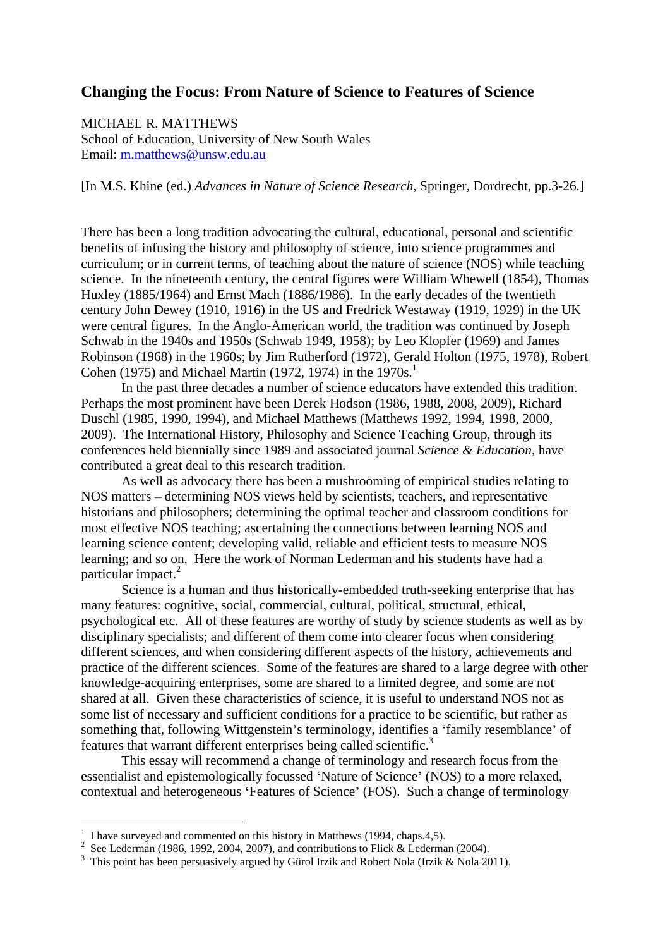# **Changing the Focus: From Nature of Science to Features of Science**

MICHAEL R. MATTHEWS School of Education, University of New South Wales Email: m.matthews@unsw.edu.au

[In M.S. Khine (ed.) *Advances in Nature of Science Research*, Springer, Dordrecht, pp.3-26.]

There has been a long tradition advocating the cultural, educational, personal and scientific benefits of infusing the history and philosophy of science, into science programmes and curriculum; or in current terms, of teaching about the nature of science (NOS) while teaching science. In the nineteenth century, the central figures were William Whewell (1854), Thomas Huxley (1885/1964) and Ernst Mach (1886/1986). In the early decades of the twentieth century John Dewey (1910, 1916) in the US and Fredrick Westaway (1919, 1929) in the UK were central figures. In the Anglo-American world, the tradition was continued by Joseph Schwab in the 1940s and 1950s (Schwab 1949, 1958); by Leo Klopfer (1969) and James Robinson (1968) in the 1960s; by Jim Rutherford (1972), Gerald Holton (1975, 1978), Robert Cohen (1975) and Michael Martin (1972, 1974) in the  $1970s<sup>1</sup>$ .

 In the past three decades a number of science educators have extended this tradition. Perhaps the most prominent have been Derek Hodson (1986, 1988, 2008, 2009), Richard Duschl (1985, 1990, 1994), and Michael Matthews (Matthews 1992, 1994, 1998, 2000, 2009). The International History, Philosophy and Science Teaching Group, through its conferences held biennially since 1989 and associated journal *Science & Education,* have contributed a great deal to this research tradition.

As well as advocacy there has been a mushrooming of empirical studies relating to NOS matters – determining NOS views held by scientists, teachers, and representative historians and philosophers; determining the optimal teacher and classroom conditions for most effective NOS teaching; ascertaining the connections between learning NOS and learning science content; developing valid, reliable and efficient tests to measure NOS learning; and so on. Here the work of Norman Lederman and his students have had a  $\mu$  particular impact.<sup>2</sup> particular impact.<sup>2</sup><br>Science is a human and thus historically-embedded truth-seeking enterprise that has

many features: cognitive, social, commercial, cultural, political, structural, ethical, psychological etc. All of these features are worthy of study by science students as well as by disciplinary specialists; and different of them come into clearer focus when considering different sciences, and when considering different aspects of the history, achievements and practice of the different sciences. Some of the features are shared to a large degree with other knowledge-acquiring enterprises, some are shared to a limited degree, and some are not shared at all. Given these characteristics of science, it is useful to understand NOS not as some list of necessary and sufficient conditions for a practice to be scientific, but rather as something that, following Wittgenstein's terminology, identifies a 'family resemblance' of features that warrant different enterprises being called scientific.<sup>3</sup>

This essay will recommend a change of terminology and research focus from the essentialist and epistemologically focussed 'Nature of Science' (NOS) to a more relaxed, contextual and heterogeneous 'Features of Science' (FOS). Such a change of terminology

 $1$  I have surveyed and commented on this history in Matthews (1994, chaps.4,5).

<sup>&</sup>lt;sup>2</sup> See Lederman (1986, 1992, 2004, 2007), and contributions to Flick & Lederman (2004).<br><sup>3</sup> This point has been persuasively argued by Gürol Irzik and Robert Nola (Irzik & Nola 2011).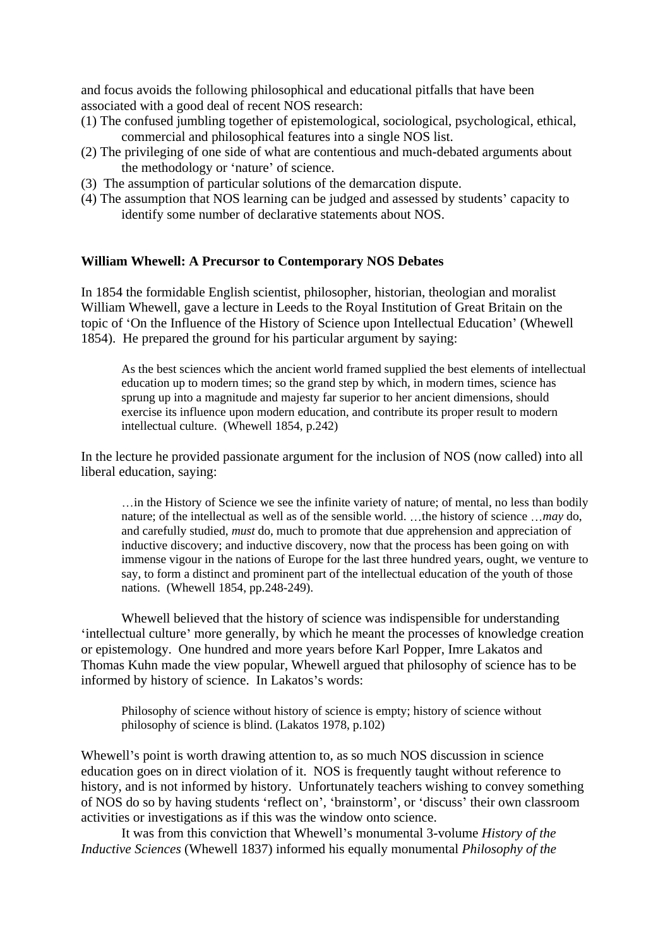and focus avoids the following philosophical and educational pitfalls that have been associated with a good deal of recent NOS research:

- (1) The confused jumbling together of epistemological, sociological, psychological, ethical, commercial and philosophical features into a single NOS list. (2) The privileging of one side of what are contentious and much-debated arguments about
- the methodology or 'nature' of science.
- (3) The assumption of particular solutions of the demarcation dispute.
- (4) The assumption that NOS learning can be judged and assessed by students capacity to identify some number of declarative statements about NOS.

# **William Whewell: A Precursor to Contemporary NOS Debates**

In 1854 the formidable English scientist, philosopher, historian, theologian and moralist William Whewell, gave a lecture in Leeds to the Royal Institution of Great Britain on the topic of 'On the Influence of the History of Science upon Intellectual Education' (Whewell 1854). He prepared the ground for his particular argument by saying:

As the best sciences which the ancient world framed supplied the best elements of intellectual education up to modern times; so the grand step by which, in modern times, science has sprung up into a magnitude and majesty far superior to her ancient dimensions, should exercise its influence upon modern education, and contribute its proper result to modern intellectual culture. (Whewell 1854, p.242)

In the lecture he provided passionate argument for the inclusion of NOS (now called) into all liberal education, saying:

... in the History of Science we see the infinite variety of nature; of mental, no less than bodily nature; of the intellectual as well as of the sensible world. ...the history of science ...*may* do, and carefully studied, *must* do, much to promote that due apprehension and appreciation of inductive discovery; and inductive discovery, now that the process has been going on with immense vigour in the nations of Europe for the last three hundred years, ought, we venture to say, to form a distinct and prominent part of the intellectual education of the youth of those nations. (Whewell 1854, pp.248-249).

Whewell believed that the history of science was indispensible for understanding intellectual culture' more generally, by which he meant the processes of knowledge creation or epistemology. One hundred and more years before Karl Popper, Imre Lakatos and Thomas Kuhn made the view popular, Whewell argued that philosophy of science has to be informed by history of science. In Lakatos's words:

Philosophy of science without history of science is empty; history of science without philosophy of science is blind. (Lakatos 1978, p.102)

Whewell's point is worth drawing attention to, as so much NOS discussion in science education goes on in direct violation of it. NOS is frequently taught without reference to history, and is not informed by history. Unfortunately teachers wishing to convey something of NOS do so by having students 'reflect on', 'brainstorm', or 'discuss' their own classroom activities or investigations as if this was the window onto science.

It was from this conviction that Whewell's monumental 3-volume *History of the Inductive Sciences* (Whewell 1837) informed his equally monumental *Philosophy of the*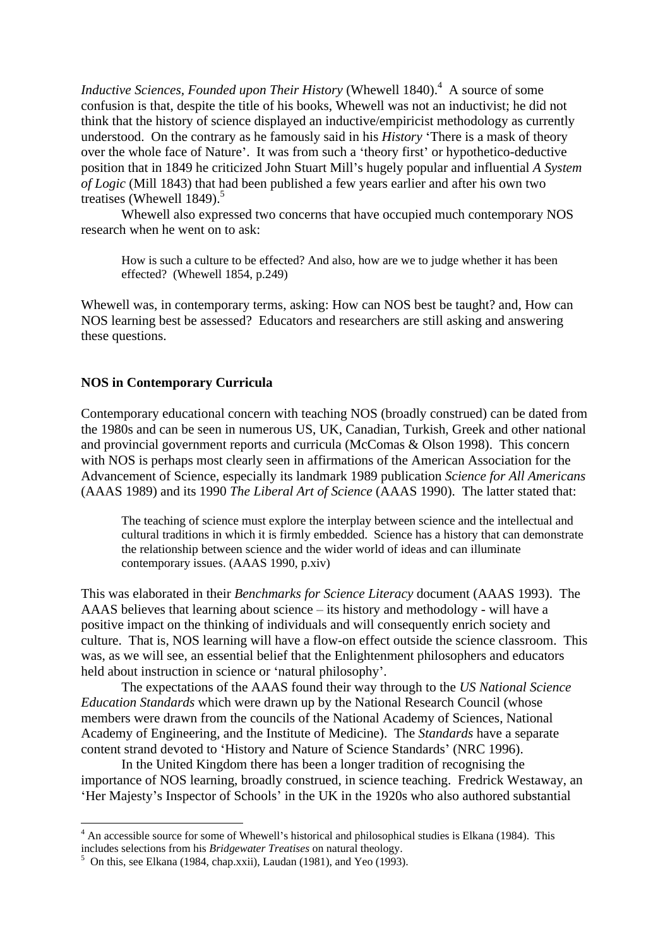*Inductive Sciences, Founded upon Their History* (Whewell 1840).<sup>4</sup> A source of some A source of some confusion is that, despite the title of his books, Whewell was not an inductivist; he did not think that the history of science displayed an inductive/empiricist methodology as currently understood. On the contrary as he famously said in his *History* 'There is a mask of theory over the whole face of Nature'. It was from such a 'theory first' or hypothetico-deductive position that in 1849 he criticized John Stuart Mill's hugely popular and influential *A System of Logic* (Mill 1843) that had been published a few years earlier and after his own two treatises (Whewell 1849).<sup>5</sup> treatises (Whewell 1849).<sup>5</sup>

 Whewell also expressed two concerns that have occupied much contemporary NOS research when he went on to ask:

How is such a culture to be effected? And also, how are we to judge whether it has been effected? (Whewell 1854, p.249)

Whewell was, in contemporary terms, asking: How can NOS best be taught? and, How can NOS learning best be assessed? Educators and researchers are still asking and answering these questions.

# **NOS in Contemporary Curricula**

Contemporary educational concern with teaching NOS (broadly construed) can be dated from the 1980s and can be seen in numerous US, UK, Canadian, Turkish, Greek and other national and provincial government reports and curricula (McComas & Olson 1998). This concern with NOS is perhaps most clearly seen in affirmations of the American Association for the Advancement of Science, especially its landmark 1989 publication *Science for All Americans* (AAAS 1989) and its 1990 *The Liberal Art of Science* (AAAS 1990). The latter stated that:

The teaching of science must explore the interplay between science and the intellectual and cultural traditions in which it is firmly embedded. Science has a history that can demonstrate the relationship between science and the wider world of ideas and can illuminate contemporary issues. (AAAS 1990, p.xiv)

This was elaborated in their *Benchmarks for Science Literacy* document (AAAS 1993). The AAAS believes that learning about science  $-$  its history and methodology - will have a positive impact on the thinking of individuals and will consequently enrich society and culture. That is, NOS learning will have a flow-on effect outside the science classroom. This was, as we will see, an essential belief that the Enlightenment philosophers and educators held about instruction in science or 'natural philosophy'.

The expectations of the AAAS found their way through to the *US National Science Education Standards* which were drawn up by the National Research Council (whose members were drawn from the councils of the National Academy of Sciences, National Academy of Engineering, and the Institute of Medicine). The *Standards* have a separate content strand devoted to 'History and Nature of Science Standards' (NRC 1996).

In the United Kingdom there has been a longer tradition of recognising the importance of NOS learning, broadly construed, in science teaching. Fredrick Westaway, an 'Her Majesty's Inspector of Schools' in the UK in the 1920s who also authored substantial

 $4$  An accessible source for some of Whewell's historical and philosophical studies is Elkana (1984). This includes selections from his *Bridgewater Treatises* on natural theology.

<sup>&</sup>lt;sup>5</sup> On this, see Elkana (1984, chap.xxii), Laudan (1981), and Yeo (1993).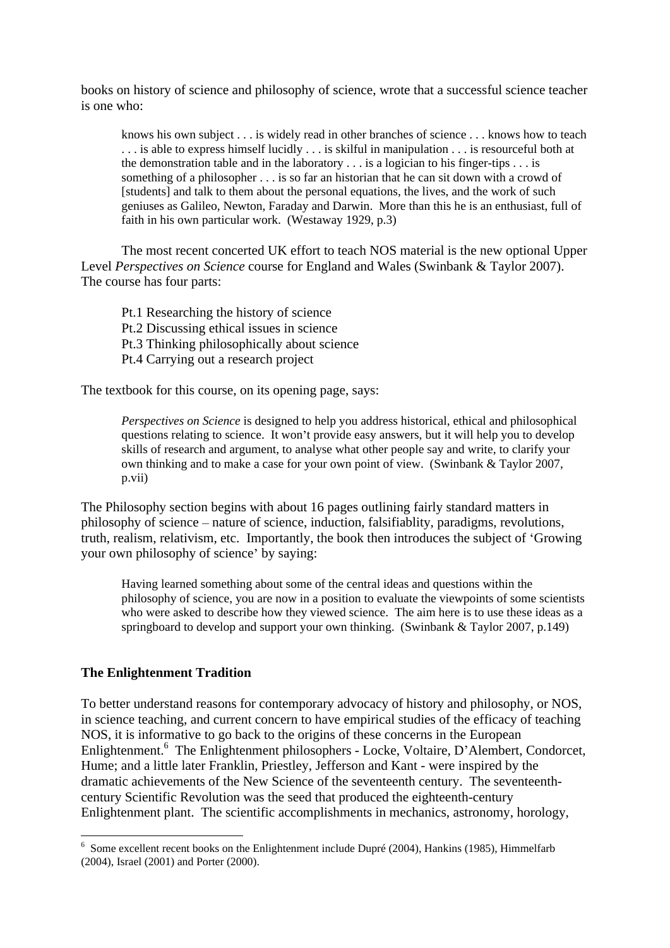books on history of science and philosophy of science, wrote that a successful science teacher is one who:

knows his own subject . . . is widely read in other branches of science . . . knows how to teach . . . is able to express himself lucidly . . . is skilful in manipulation . . . is resourceful both at the demonstration table and in the laboratory  $\dots$  is a logician to his finger-tips  $\dots$  is something of a philosopher . . . is so far an historian that he can sit down with a crowd of [students] and talk to them about the personal equations, the lives, and the work of such geniuses as Galileo, Newton, Faraday and Darwin. More than this he is an enthusiast, full of faith in his own particular work. (Westaway 1929, p.3)

The most recent concerted UK effort to teach NOS material is the new optional Upper Level *Perspectives on Science* course for England and Wales (Swinbank & Taylor 2007). The course has four parts:

Pt.1 Researching the history of science Pt.2 Discussing ethical issues in science Pt.3 Thinking philosophically about science Pt.4 Carrying out a research project

The textbook for this course, on its opening page, says:

*Perspectives on Science* is designed to help you address historical, ethical and philosophical questions relating to science. It won't provide easy answers, but it will help you to develop skills of research and argument, to analyse what other people say and write, to clarify your own thinking and to make a case for your own point of view. (Swinbank & Taylor 2007, p.vii)

The Philosophy section begins with about 16 pages outlining fairly standard matters in philosophy of science nature of science, induction, falsifiablity, paradigms, revolutions, truth, realism, relativism, etc. Importantly, the book then introduces the subject of 'Growing your own philosophy of science' by saying:

Having learned something about some of the central ideas and questions within the philosophy of science, you are now in a position to evaluate the viewpoints of some scientists who were asked to describe how they viewed science. The aim here is to use these ideas as a springboard to develop and support your own thinking. (Swinbank & Taylor 2007, p.149)

### **The Enlightenment Tradition**

To better understand reasons for contemporary advocacy of history and philosophy, or NOS, in science teaching, and current concern to have empirical studies of the efficacy of teaching NOS, it is informative to go back to the origins of these concerns in the European Enlightenment.<sup>6</sup> The Enlightenment philosophers - Locke, Voltaire, D'Alembert, Condorcet, Hume; and a little later Franklin, Priestley, Jefferson and Kant - were inspired by the dramatic achievements of the New Science of the seventeenth century. The seventeenth century Scientific Revolution was the seed that produced the eighteenth-century Enlightenment plant. The scientific accomplishments in mechanics, astronomy, horology,

 $6$  Some excellent recent books on the Enlightenment include Dupré (2004), Hankins (1985), Himmelfarb (2004), Israel (2001) and Porter (2000).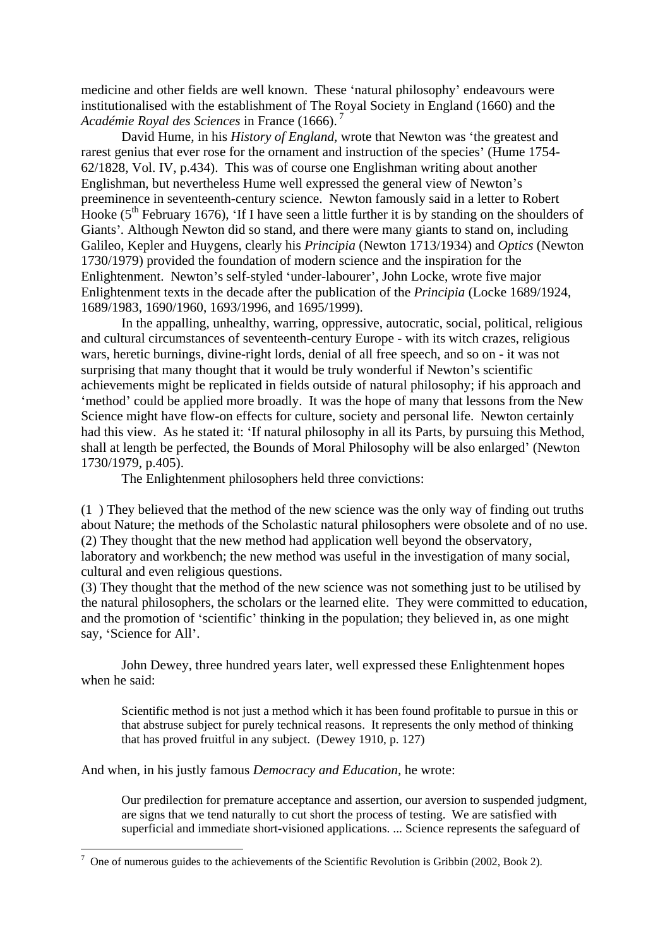medicine and other fields are well known. These 'natural philosophy' endeavours were institutionalised with the establishment of The Royal Society in England (1660) and the *Académie Royal des Sciences* in France (1666). <sup>7</sup>

David Hume, in his *History of England*, wrote that Newton was 'the greatest and rarest genius that ever rose for the ornament and instruction of the species' (Hume 1754-62/1828, Vol. IV, p.434). This was of course one Englishman writing about another Englishman, but nevertheless Hume well expressed the general view of Newton's preeminence in seventeenth-century science. Newton famously said in a letter to Robert Hooke ( $5<sup>th</sup>$  February 1676), 'If I have seen a little further it is by standing on the shoulders of Giants'. Although Newton did so stand, and there were many giants to stand on, including Galileo, Kepler and Huygens, clearly his *Principia* (Newton 1713/1934) and *Optics* (Newton 1730/1979) provided the foundation of modern science and the inspiration for the Enlightenment. Newton's self-styled 'under-labourer', John Locke, wrote five major Enlightenment texts in the decade after the publication of the *Principia* (Locke 1689/1924, 1689/1983, 1690/1960, 1693/1996, and 1695/1999).

In the appalling, unhealthy, warring, oppressive, autocratic, social, political, religious and cultural circumstances of seventeenth-century Europe - with its witch crazes, religious wars, heretic burnings, divine-right lords, denial of all free speech, and so on - it was not surprising that many thought that it would be truly wonderful if Newton's scientific achievements might be replicated in fields outside of natural philosophy; if his approach and 'method' could be applied more broadly. It was the hope of many that lessons from the New Science might have flow-on effects for culture, society and personal life. Newton certainly had this view. As he stated it: 'If natural philosophy in all its Parts, by pursuing this Method, shall at length be perfected, the Bounds of Moral Philosophy will be also enlarged' (Newton 1730/1979, p.405).

The Enlightenment philosophers held three convictions:

(1 ) They believed that the method of the new science was the only way of finding out truths about Nature; the methods of the Scholastic natural philosophers were obsolete and of no use. (2) They thought that the new method had application well beyond the observatory, laboratory and workbench; the new method was useful in the investigation of many social, cultural and even religious questions.

(3) They thought that the method of the new science was not something just to be utilised by the natural philosophers, the scholars or the learned elite. They were committed to education, and the promotion of 'scientific' thinking in the population; they believed in, as one might say, 'Science for All'.

John Dewey, three hundred years later, well expressed these Enlightenment hopes when he said:  $\blacksquare$ 

Scientific method is not just a method which it has been found profitable to pursue in this or that abstruse subject for purely technical reasons. It represents the only method of thinking that has proved fruitful in any subject. (Dewey 1910, p. 127)

And when, in his justly famous *Democracy and Education,* he wrote:

Our predilection for premature acceptance and assertion, our aversion to suspended judgment, are signs that we tend naturally to cut short the process of testing. We are satisfied with superficial and immediate short-visioned applications. ... Science represents the safeguard of

 $\overline{7}$  One of numerous guides to the achievements of the Scientific Revolution is Gribbin (2002, Book 2).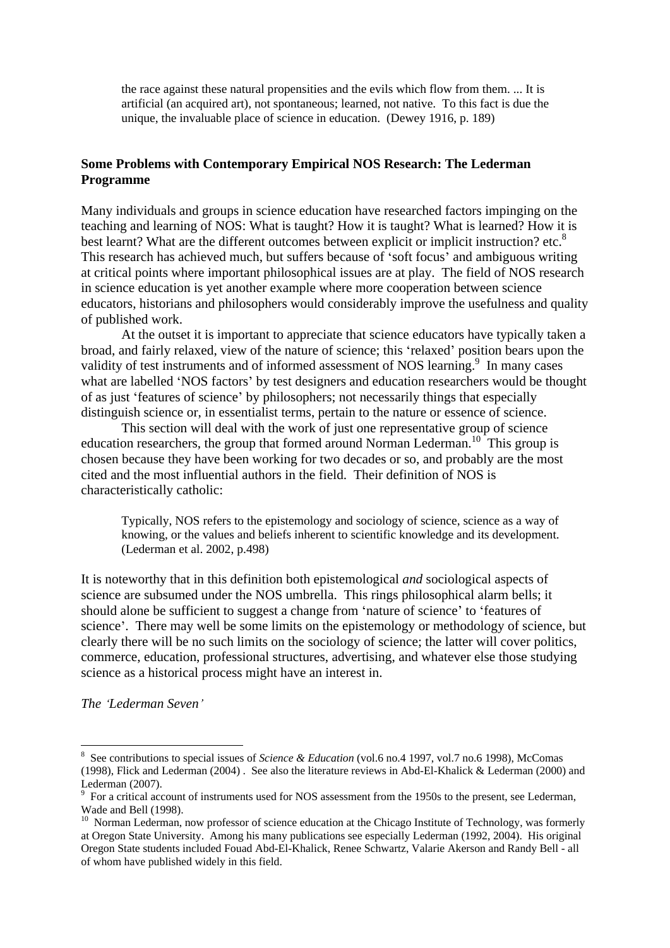the race against these natural propensities and the evils which flow from them. ... It is artificial (an acquired art), not spontaneous; learned, not native. To this fact is due the unique, the invaluable place of science in education. (Dewey 1916, p. 189)

# **Some Problems with Contemporary Empirical NOS Research: The Lederman Programme**

Many individuals and groups in science education have researched factors impinging on the teaching and learning of NOS: What is taught? How it is taught? What is learned? How it is best learnt? What are the different outcomes between explicit or implicit instruction? etc.<sup>8</sup> This research has achieved much, but suffers because of 'soft focus' and ambiguous writing at critical points where important philosophical issues are at play. The field of NOS research in science education is yet another example where more cooperation between science educators, historians and philosophers would considerably improve the usefulness and quality of published work.

At the outset it is important to appreciate that science educators have typically taken a broad, and fairly relaxed, view of the nature of science; this 'relaxed' position bears upon the validity of test instruments and of informed assessment of NOS learning.<sup>9</sup> In many cases what are labelled 'NOS factors' by test designers and education researchers would be thought of as just 'features of science' by philosophers; not necessarily things that especially distinguish science or, in essentialist terms, pertain to the nature or essence of science.

This section will deal with the work of just one representative group of science education researchers, the group that formed around Norman Lederman.<sup>10</sup> This group is This group is chosen because they have been working for two decades or so, and probably are the most cited and the most influential authors in the field. Their definition of NOS is characteristically catholic:

Typically, NOS refers to the epistemology and sociology of science, science as a way of knowing, or the values and beliefs inherent to scientific knowledge and its development. (Lederman et al. 2002, p.498)

It is noteworthy that in this definition both epistemological *and* sociological aspects of science are subsumed under the NOS umbrella. This rings philosophical alarm bells; it should alone be sufficient to suggest a change from 'nature of science' to 'features of science. There may well be some limits on the epistemology or methodology of science, but clearly there will be no such limits on the sociology of science; the latter will cover politics, commerce, education, professional structures, advertising, and whatever else those studying science as a historical process might have an interest in.

*The Lederman Seven*

<sup>&</sup>lt;sup>8</sup> See contributions to special issues of *Science & Education* (vol.6 no.4 1997, vol.7 no.6 1998), McComas (1998), Flick and Lederman (2004) . See also the literature reviews in Abd-El-Khalick & Lederman (2000) and Lederman (2007).<br><sup>9</sup> For a critical account of instruments used for NOS assessment from the 1950s to the present, see Lederman,

Wade and Bell (1998).<br><sup>10</sup> Norman Lederman, now professor of science education at the Chicago Institute of Technology, was formerly at Oregon State University. Among his many publications see especially Lederman (1992, 2004). His original Oregon State students included Fouad Abd-El-Khalick, Renee Schwartz, Valarie Akerson and Randy Bell - all of whom have published widely in this field.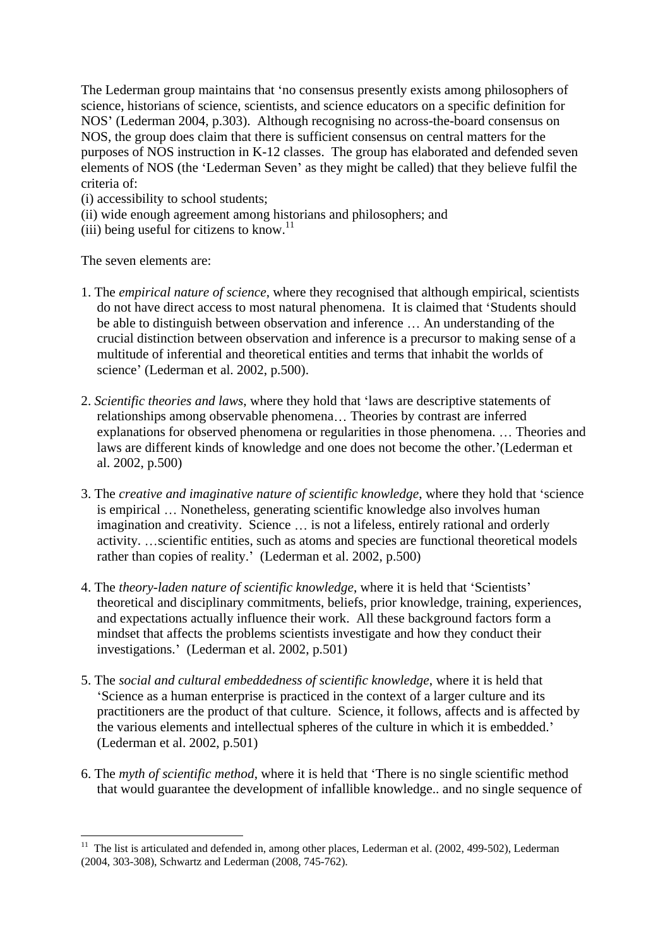The Lederman group maintains that 'no consensus presently exists among philosophers of science, historians of science, scientists, and science educators on a specific definition for NOS' (Lederman 2004, p.303). Although recognising no across-the-board consensus on NOS, the group does claim that there is sufficient consensus on central matters for the purposes of NOS instruction in K-12 classes. The group has elaborated and defended seven elements of NOS (the 'Lederman Seven' as they might be called) that they believe fulfil the criteria of:

(i) accessibility to school students;

(ii) wide enough agreement among historians and philosophers; and

(iii) being useful for citizens to know.<sup>11</sup>

The seven elements are:

- 1. The *empirical nature of science*, where they recognised that although empirical, scientists do not have direct access to most natural phenomena. It is claimed that 'Students should be able to distinguish between observation and inference  $\dots$  An understanding of the crucial distinction between observation and inference is a precursor to making sense of a multitude of inferential and theoretical entities and terms that inhabit the worlds of science' (Lederman et al. 2002, p.500).
- 2. *Scientific theories and laws*, where they hold that 'laws are descriptive statements of relationships among observable phenomena... Theories by contrast are inferred explanations for observed phenomena or regularities in those phenomena. ... Theories and laws are different kinds of knowledge and one does not become the other. (Lederman et al. 2002, p.500)
- 3. The *creative and imaginative nature of scientific knowledge*, where they hold that 'science is empirical ... Nonetheless, generating scientific knowledge also involves human imagination and creativity. Science ... is not a lifeless, entirely rational and orderly activity. ...scientific entities, such as atoms and species are functional theoretical models rather than copies of reality.' (Lederman et al. 2002, p.500)
- 4. The *theory-laden nature of scientific knowledge*, where it is held that 'Scientists' theoretical and disciplinary commitments, beliefs, prior knowledge, training, experiences, and expectations actually influence their work. All these background factors form a mindset that affects the problems scientists investigate and how they conduct their investigations.' (Lederman et al. 2002, p.501)
- 5. The *social and cultural embeddedness of scientific knowledge*, where it is held that Science as a human enterprise is practiced in the context of a larger culture and its practitioners are the product of that culture. Science, it follows, affects and is affected by the various elements and intellectual spheres of the culture in which it is embedded. (Lederman et al. 2002, p.501)
- 6. The *myth of scientific method*, where it is held that There isno single scientific method that would guarantee the development of infallible knowledge.. and no single sequence of

<sup>&</sup>lt;sup>11</sup> The list is articulated and defended in, among other places, Lederman et al. (2002, 499-502), Lederman (2004, 303-308), Schwartz and Lederman (2008, 745-762).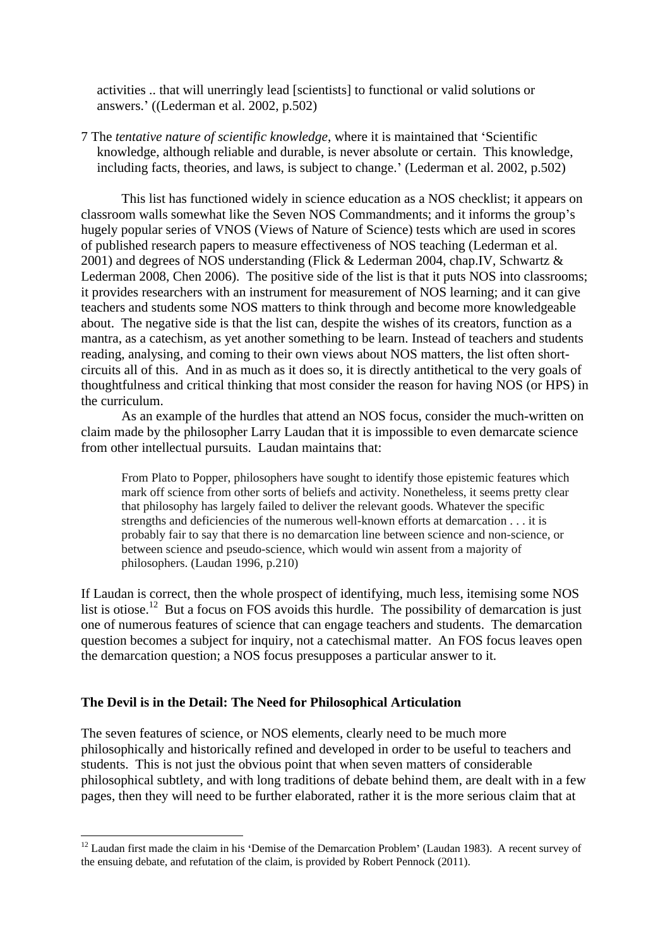activities .. that will unerringly lead [scientists] to functional or valid solutions or answers. ((Lederman et al. 2002, p.502)

7 The *tentative nature of scientific knowledge*, where it is maintained that 'Scientific knowledge, although reliable and durable, is never absolute or certain. This knowledge, including facts, theories, and laws, is subject to change.' (Lederman et al. 2002, p.502)

This list has functioned widely in science education as a NOS checklist; it appears on classroom walls somewhat like the Seven NOS Commandments; and it informs the group's hugely popular series of VNOS (Views of Nature of Science) tests which are used in scores of published research papers to measure effectiveness of NOS teaching (Lederman et al. 2001) and degrees of NOS understanding (Flick & Lederman 2004, chap.IV, Schwartz & Lederman 2008, Chen 2006). The positive side of the list is that it puts NOS into classrooms; it provides researchers with an instrument for measurement of NOS learning; and it can give teachers and students some NOS matters to think through and become more knowledgeable about. The negative side is that the list can, despite the wishes of its creators, function as a mantra, as a catechism, as yet another something to be learn. Instead of teachers and students reading, analysing, and coming to their own views about NOS matters, the list often short circuits all of this. And in as much as it does so, it is directly antithetical to the very goals of thoughtfulness and critical thinking that most consider the reason for having NOS (or HPS) in the curriculum.

As an example of the hurdles that attend an NOS focus, consider the much-written on claim made by the philosopher Larry Laudan that it is impossible to even demarcate science from other intellectual pursuits. Laudan maintains that:

From Plato to Popper, philosophers have sought to identify those epistemic features which mark off science from other sorts of beliefs and activity. Nonetheless, it seems pretty clear that philosophy has largely failed to deliver the relevant goods. Whatever the specific strengths and deficiencies of the numerous well-known efforts at demarcation . . . it is probably fair to say that there is no demarcation line between science and non-science, or between science and pseudo-science, which would win assent from a majority of philosophers. (Laudan 1996, p.210)

If Laudan is correct, then the whole prospect of identifying, much less, itemising some NOS list is otiose.<sup>12</sup> But a focus on FOS avoids this hurdle. The possibility of demarcation is just one of numerous features of science that can engage teachers and students. The demarcation question becomes a subject for inquiry, not a catechismal matter. An FOS focus leaves open the demarcation question; a NOS focus presupposes a particular answer to it.

### **The Devil is in the Detail: The Need for Philosophical Articulation**

The seven features of science, or NOS elements, clearly need to be much more philosophically and historically refined and developed in order to be useful to teachers and students. This is not just the obvious point that when seven matters of considerable philosophical subtlety, and with long traditions of debate behind them, are dealt with in a few pages, then they will need to be further elaborated, rather it is the more serious claim that at

 $12$  Laudan first made the claim in his 'Demise of the Demarcation Problem' (Laudan 1983). A recent survey of the ensuing debate, and refutation of the claim, is provided by Robert Pennock (2011).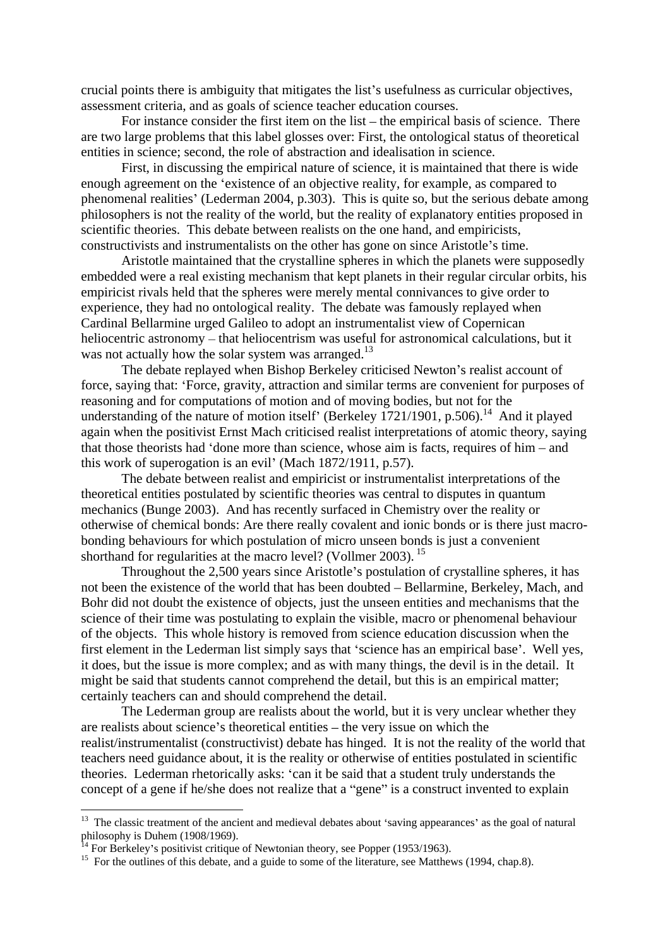crucial points there is ambiguity that mitigates the list's usefulness as curricular objectives, assessment criteria, and as goals of science teacher education courses.

For instance consider the first item on the list  $-$  the empirical basis of science. There are two large problems that this label glosses over: First, the ontological status of theoretical entities in science; second, the role of abstraction and idealisation in science.

First, in discussing the empirical nature of science, it is maintained that there is wide enough agreement on the 'existence of an objective reality, for example, as compared to phenomenal realities (Lederman 2004, p.303). This is quite so, but the serious debate among philosophers is not the reality of the world, but the reality of explanatory entities proposed in scientific theories. This debate between realists on the one hand, and empiricists, constructivists and instrumentalists on the other has gone on since Aristotle's time.<br>Aristotle maintained that the crystalline spheres in which the planets were supposedly

embedded were a real existing mechanism that kept planets in their regular circular orbits, his empiricist rivals held that the spheres were merely mental connivances to give order to experience, they had no ontological reality. The debate was famously replayed when Cardinal Bellarmine urged Galileo to adopt an instrumentalist view of Copernican heliocentric astronomy – that heliocentrism was useful for astronomical calculations, but it was not actually how the solar system was arranged.<sup>13</sup>

The debate replayed when Bishop Berkeley criticised Newton's realist account of force, saying that: Force, gravity, attraction and similar terms are convenient for purposes of reasoning and for computations of motion and of moving bodies, but not for the understanding of the nature of motion itself' (Berkeley 1721/1901, p.506).<sup>14</sup> And it played again when the positivist Ernst Mach criticised realist interpretations of atomic theory, saying that those theorists had 'done more than science, whose aim is facts, requires of him  $-$  and this work of superogation is an evil' (Mach  $1872/1911$ , p.57).

The debate between realist and empiricist or instrumentalist interpretations of the theoretical entities postulated by scientific theories was central to disputes in quantum mechanics (Bunge 2003). And has recently surfaced in Chemistry over the reality or otherwise of chemical bonds: Are there really covalent and ionic bonds or is there just macro bonding behaviours for which postulation of micro unseen bonds is just a convenient shorthand for regularities at the macro level? (Vollmer 2003). <sup>15</sup>

Throughout the 2,500 years since Aristotle's postulation of crystalline spheres, it has not been the existence of the world that has been doubted – Bellarmine, Berkeley, Mach, and Bohr did not doubt the existence of objects, just the unseen entities and mechanisms that the science of their time was postulating to explain the visible, macro or phenomenal behaviour of the objects. This whole history is removed from science education discussion when the first element in the Lederman list simply says that 'science has an empirical base'. Well yes, it does, but the issue is more complex; and as with many things, the devil is in the detail. It might be said that students cannot comprehend the detail, but this is an empirical matter; certainly teachers can and should comprehend the detail.

The Lederman group are realists about the world, but it is very unclear whether they are realists about science's theoretical entities  $-$  the very issue on which the realist/instrumentalist (constructivist) debate has hinged. It is not the reality of the world that teachers need guidance about, it is the reality or otherwise of entities postulated in scientific theories. Lederman rhetorically asks: 'can it be said that a student truly understands the concept of a gene if he/she does not realize that a "gene" is a construct invented to explain

<sup>&</sup>lt;sup>13</sup> The classic treatment of the ancient and medieval debates about 'saving appearances' as the goal of natural philosophy is Duhem (1908/1969).<br><sup>14</sup> For Berkeley's positivist critique of Newtonian theory, see Popper (1953/1963).

<sup>&</sup>lt;sup>15</sup> For the outlines of this debate, and a guide to some of the literature, see Matthews (1994, chap.8).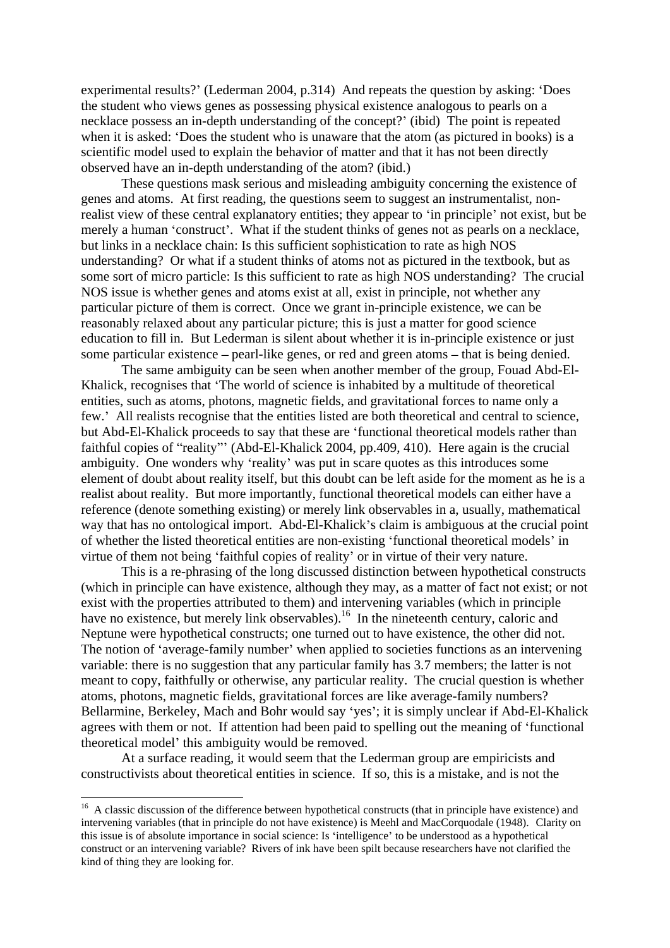experimental results?' (Lederman 2004, p.314) And repeats the question by asking: 'Does the student who views genes as possessing physical existence analogous to pearls on a necklace possess an in-depth understanding of the concept? (ibid) The point is repeated when it is asked: 'Does the student who is unaware that the atom (as pictured in books) is a scientific model used to explain the behavior of matter and that it has not been directly observed have an in-depth understanding of the atom? (ibid.)

These questions mask serious and misleading ambiguity concerning the existence of genes and atoms. At first reading, the questions seem to suggest an instrumentalist, nonrealist view of these central explanatory entities; they appear to 'in principle' not exist, but be merely a human 'construct'. What if the student thinks of genes not as pearls on a necklace, but links in a necklace chain: Is this sufficient sophistication to rate as high NOS understanding? Or what if a student thinks of atoms not as pictured in the textbook, but as some sort of micro particle: Is this sufficient to rate as high NOS understanding? The crucial NOS issue is whether genes and atoms exist at all, exist in principle, not whether any particular picture of them is correct. Once we grant in-principle existence, we can be reasonably relaxed about any particular picture; this is just a matter for good science education to fill in. But Lederman is silent about whether it is in-principle existence or just some particular existence  $-\rho$  pearl-like genes, or red and green atoms  $-\rho$  that is being denied.

The same ambiguity can be seen when another member of the group, Fouad Abd-El- Khalick, recognises that 'The world of science is inhabited by a multitude of theoretical entities, such as atoms, photons, magnetic fields, and gravitational forces to name only a few.' All realists recognise that the entities listed are both theoretical and central to science, but Abd-El-Khalick proceeds to say that these are 'functional theoretical models rather than faithful copies of "reality" (Abd-El-Khalick 2004, pp.409, 410). Here again is the crucial ambiguity. One wonders why 'reality' was put in scare quotes as this introduces some element of doubt about reality itself, but this doubt can be left aside for the moment as he is a realist about reality. But more importantly, functional theoretical models can either have a reference (denote something existing) or merely link observables in a, usually, mathematical way that has no ontological import. Abd-El-Khalick's claim is ambiguous at the crucial point of whether the listed theoretical entities are non-existing 'functional theoretical models' in virtue of them not being 'faithful copies of reality' or in virtue of their very nature.

This is a re-phrasing of the long discussed distinction between hypothetical constructs (which in principle can have existence, although they may, as a matter of fact not exist; or not exist with the properties attributed to them) and intervening variables (which in principle have no existence, but merely link observables).<sup>16</sup> In the nineteenth century, caloric and Neptune were hypothetical constructs; one turned out to have existence, the other did not. The notion of 'average-family number' when applied to societies functions as an intervening variable: there is no suggestion that any particular family has 3.7 members; the latter is not meant to copy, faithfully or otherwise, any particular reality. The crucial question is whether atoms, photons, magnetic fields, gravitational forces are like average-family numbers? Bellarmine, Berkeley, Mach and Bohr would say 'yes'; it is simply unclear if Abd-El-Khalick agrees with them or not. If attention had been paid to spelling out the meaning of 'functional theoretical model' this ambiguity would be removed.

At a surface reading, it would seem that the Lederman group are empiricists and constructivists about theoretical entities in science. If so, this is a mistake, and is not the

<sup>&</sup>lt;sup>16</sup> A classic discussion of the difference between hypothetical constructs (that in principle have existence) and intervening variables (that in principle do not have existence) is Meehl and MacCorquodale (1948). Clarity on this issue is of absolute importance in social science: Is 'intelligence' to be understood as a hypothetical construct or an intervening variable? Rivers of ink have been spilt because researchers have not clarified the kind of thing they are looking for.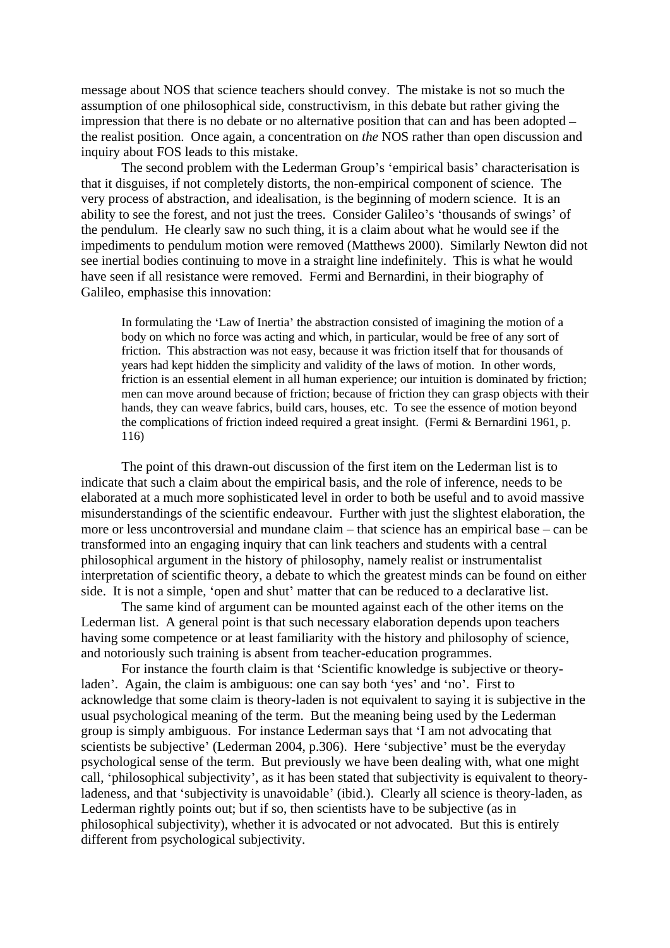message about NOS that science teachers should convey. The mistake is not so much the assumption of one philosophical side, constructivism, in this debate but rather giving the impression that there is no debate or no alternative position that can and has been adopted the realist position. Once again, a concentration on *the* NOS rather than open discussion and inquiry about FOS leads to this mistake.

The second problem with the Lederman Group's 'empirical basis' characterisation is that it disguises, if not completely distorts, the non-empirical component of science. The very process of abstraction, and idealisation, is the beginning of modern science. It is an ability to see the forest, and not just the trees. Consider Galileo's 'thousands of swings' of the pendulum. He clearly saw no such thing, it is a claim about what he would see if the impediments to pendulum motion were removed (Matthews 2000). Similarly Newton did not see inertial bodies continuing to move in a straight line indefinitely. This is what he would have seen if all resistance were removed. Fermi and Bernardini, in their biography of Galileo, emphasise this innovation:

In formulating the 'Law of Inertia' the abstraction consisted of imagining the motion of a body on which no force was acting and which, in particular, would be free of any sort of friction. This abstraction was not easy, because it was friction itself that for thousands of years had kept hidden the simplicity and validity of the laws of motion. In other words, friction is an essential element in all human experience; our intuition is dominated by friction; men can move around because of friction; because of friction they can grasp objects with their hands, they can weave fabrics, build cars, houses, etc. To see the essence of motion beyond the complications of friction indeed required a great insight. (Fermi & Bernardini 1961, p. 116)

The point of this drawn-out discussion of the first item on the Lederman list is to indicate that such a claim about the empirical basis, and the role of inference, needs to be elaborated at a much more sophisticated level in order to both be useful and to avoid massive misunderstandings of the scientific endeavour. Further with just the slightest elaboration, the more or less uncontroversial and mundane claim  $-$  that science has an empirical base  $-$  can be transformed into an engaging inquiry that can link teachers and students with a central philosophical argument in the history of philosophy, namely realist or instrumentalist interpretation of scientific theory, a debate to which the greatest minds can be found on either side. It is not a simple, 'open and shut' matter that can be reduced to a declarative list.<br>The same kind of argument can be mounted against each of the other items on the

Lederman list. A general point is that such necessary elaboration depends upon teachers having some competence or at least familiarity with the history and philosophy of science, and notoriously such training is absent from teacher-education programmes.

For instance the fourth claim is that 'Scientific knowledge is subjective or theoryladen'. Again, the claim is ambiguous: one can say both 'yes' and 'no'. First to acknowledge that some claim is theory-laden is not equivalent to saying it is subjective in the usual psychological meaning of the term. But the meaning being used by the Lederman group is simply ambiguous. For instance Lederman says that I am not advocating that scientists be subjective' (Lederman 2004, p.306). Here 'subjective' must be the everyday psychological sense of the term. But previously we have been dealing with, what one might call, 'philosophical subjectivity', as it has been stated that subjectivity is equivalent to theoryladeness, and that 'subjectivity is unavoidable' (ibid.). Clearly all science is theory-laden, as Lederman rightly points out; but if so, then scientists have to be subjective (as in philosophical subjectivity), whether it is advocated or not advocated. But this is entirely different from psychological subjectivity.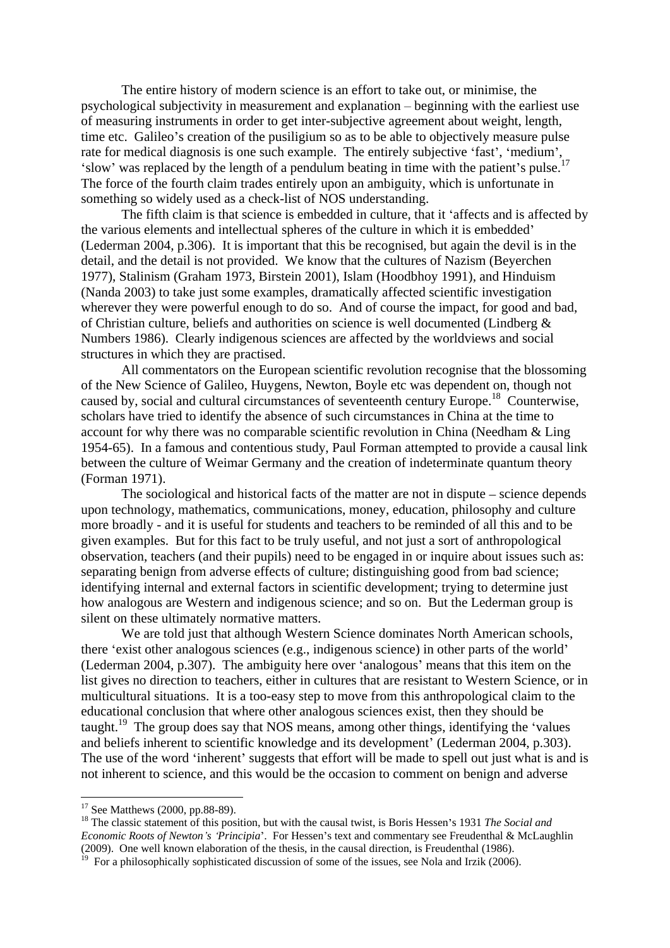The entire history of modern science is an effort to take out, or minimise, the psychological subjectivity in measurement and explanation beginning with the earliest use of measuring instruments in order to get inter-subjective agreement about weight, length, time etc. Galileo's creation of the pusiligium so as to be able to objectively measure pulse rate for medical diagnosis is one such example. The entirely subjective 'fast', 'medium', 'slow' was replaced by the length of a pendulum beating in time with the patient's pulse.<sup>17</sup><br>The force of the fourth claim trades entirely upon an ambiguity, which is unfortunate in something so widely used as a check-list of NOS understanding.

The fifth claim is that science is embedded in culture, that it 'affects and is affected by the various elements and intellectual spheres of the culture in which it is embedded (Lederman 2004, p.306). It is important that this be recognised, but again the devil is in the detail, and the detail is not provided. We know that the cultures of Nazism (Beyerchen 1977), Stalinism (Graham 1973, Birstein 2001), Islam (Hoodbhoy 1991), and Hinduism (Nanda 2003) to take just some examples, dramatically affected scientific investigation wherever they were powerful enough to do so. And of course the impact, for good and bad, of Christian culture, beliefs and authorities on science is well documented (Lindberg & Numbers 1986). Clearly indigenous sciences are affected by the worldviews and social structures in which they are practised.

All commentators on the European scientific revolution recognise that the blossoming of the New Science of Galileo, Huygens, Newton, Boyle etc was dependent on, though not caused by, social and cultural circumstances of seventeenth century Europe.<sup>18</sup> Counterwise, scholars have tried to identify the absence of such circumstances in China at the time to account for why there was no comparable scientific revolution in China (Needham & Ling 1954-65). In a famous and contentious study, Paul Forman attempted to provide a causal link between the culture of Weimar Germany and the creation of indeterminate quantum theory (Forman 1971).

The sociological and historical facts of the matter are not in dispute  $-$  science depends upon technology, mathematics, communications, money, education, philosophy and culture more broadly - and it is useful for students and teachers to be reminded of all this and to be given examples. But for this fact to be truly useful, and not just a sort of anthropological observation, teachers (and their pupils) need to be engaged in or inquire about issues such as: separating benign from adverse effects of culture; distinguishing good from bad science; identifying internal and external factors in scientific development; trying to determine just how analogous are Western and indigenous science; and so on. But the Lederman group is silent on these ultimately normative matters.

We are told just that although Western Science dominates North American schools, there 'exist other analogous sciences (e.g., indigenous science) in other parts of the world' (Lederman 2004, p.307). The ambiguity here over 'analogous' means that this item on the list gives no direction to teachers, either in cultures that are resistant to Western Science, or in multicultural situations. It is a too-easy step to move from this anthropological claim to the educational conclusion that where other analogous sciences exist, then they should be taught.<sup>19</sup> The group does say that NOS means, among other things, identifying the 'values and beliefs inherent to scientific knowledge and its development' (Lederman 2004, p.303). The use of the word 'inherent' suggests that effort will be made to spell out just what is and is not inherent to science, and this would be the occasion to comment on benign and adverse

<sup>&</sup>lt;sup>17</sup> See Matthews (2000, pp.88-89).<br><sup>18</sup> The classic statement of this position, but with the causal twist, is Boris Hessen's 1931 *The Social and Economic Roots of Newton's 'Principia'.* For Hessen's text and commentary see Freudenthal & McLaughlin (2009). One well known elaboration of the thesis, in the causal direction, is Freudenthal (1986).<br><sup>19</sup> For a philosophically sophisticated discussion of some of the issues, see Nola and Irzik (2006).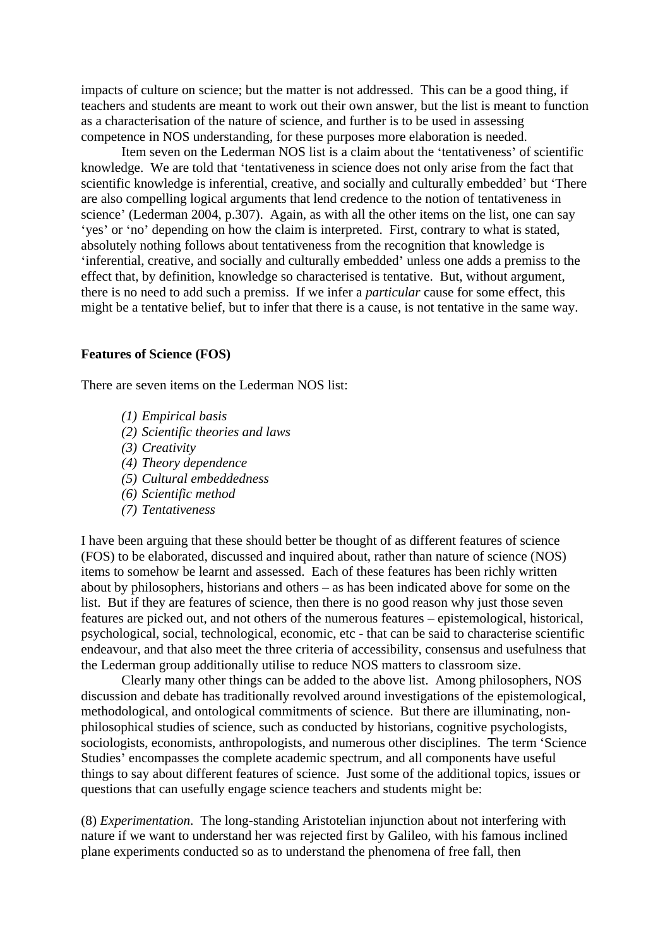impacts of culture on science; but the matter is not addressed. This can be a good thing, if teachers and students are meant to work out their own answer, but the list is meant to function as a characterisation of the nature of science, and further is to be used in assessing competence in NOS understanding, for these purposes more elaboration is needed.<br>Item seven on the Lederman NOS list is a claim about the 'tentativeness' of scientific

knowledge. We are told that 'tentativeness in science does not only arise from the fact that scientific knowledge is inferential, creative, and socially and culturally embedded' but 'There are also compelling logical arguments that lend credence to the notion of tentativeness in science' (Lederman 2004, p.307). Again, as with all the other items on the list, one can say 'ves' or 'no' depending on how the claim is interpreted. First, contrary to what is stated, absolutely nothing follows about tentativeness from the recognition that knowledge is inferential, creative, and socially and culturally embedded' unless one adds a premiss to the effect that, by definition, knowledge so characterised is tentative. But, without argument, there is no need to add such a premiss. If we infer a *particular* cause for some effect, this might be a tentative belief, but to infer that there is a cause, is not tentative in the same way.

### **Features of Science (FOS)**

There are seven items on the Lederman NOS list:

- *(1) Empirical basis*
- *(2) Scientific theories and laws*
- *(3) Creativity*
- *(4) Theory dependence*
- *(5) Cultural embeddedness*
- *(6) Scientific method*
- *(7) Tentativeness*

I have been arguing that these should better be thought of as different features of science (FOS) to be elaborated, discussed and inquired about, rather than nature of science (NOS) items to somehow be learnt and assessed. Each of these features has been richly written about by philosophers, historians and others  $-$  as has been indicated above for some on the list. But if they are features of science, then there is no good reason why just those seven features are picked out, and not others of the numerous features – epistemological, historical, psychological, social, technological, economic, etc - that can be said to characterise scientific endeavour, and that also meet the three criteria of accessibility, consensus and usefulness that the Lederman group additionally utilise to reduce NOS matters to classroom size.

Clearly many other things can be added to the above list. Among philosophers, NOS discussion and debate has traditionally revolved around investigations of the epistemological, methodological, and ontological commitments of science. But there are illuminating, non philosophical studies of science, such as conducted by historians, cognitive psychologists, sociologists, economists, anthropologists, and numerous other disciplines. The term 'Science Studies' encompasses the complete academic spectrum, and all components have useful things to say about different features of science. Just some of the additional topics, issues or questions that can usefully engage science teachers and students might be:

(8) *Experimentation*. The long-standing Aristotelian injunction about not interfering with nature if we want to understand her was rejected first by Galileo, with his famous inclined plane experiments conducted so as to understand the phenomena of free fall, then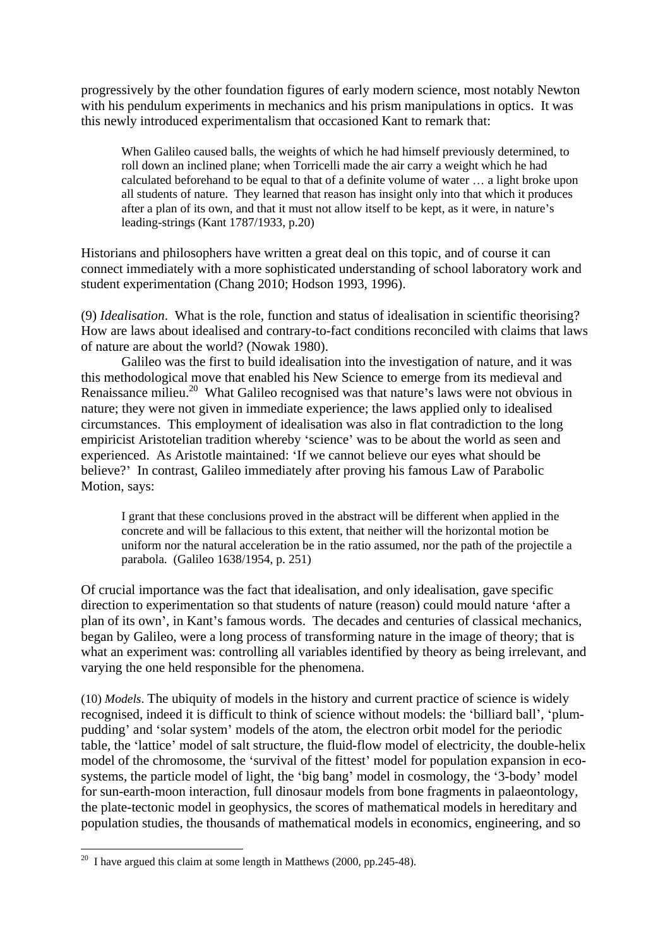progressively by the other foundation figures of early modern science, most notably Newton with his pendulum experiments in mechanics and his prism manipulations in optics. It was this newly introduced experimentalism that occasioned Kant to remark that:

When Galileo caused balls, the weights of which he had himself previously determined, to roll down an inclined plane; when Torricelli made the air carry a weight which he had calculated beforehand to be equal to that of a definite volume of water  $\dots$  a light broke upon all students of nature. They learned that reason has insight only into that which it produces after a plan of its own, and that it must not allow itself to be kept, as it were, in nature's leading-strings (Kant 1787/1933, p.20)

Historians and philosophers have written a great deal on this topic, and of course it can connect immediately with a more sophisticated understanding of school laboratory work and student experimentation (Chang 2010; Hodson 1993, 1996).

(9) *Idealisation*. What is the role, function and status of idealisation in scientific theorising? How are laws about idealised and contrary-to-fact conditions reconciled with claims that laws of nature are about the world? (Nowak 1980).

Galileo was the first to build idealisation into the investigation of nature, and it was this methodological move that enabled his New Science to emerge from its medieval and Renaissance milieu.<sup>20</sup> What Galileo recognised was that nature's laws were not obvious in nature; they were not given in immediate experience; the laws applied only to idealised circumstances. This employment of idealisation was also in flat contradiction to the long empiricist Aristotelian tradition whereby 'science' was to be about the world as seen and experienced. As Aristotle maintained: 'If we cannot believe our eyes what should be believe?' In contrast, Galileo immediately after proving his famous Law of Parabolic Motion, says:

I grant that these conclusions proved in the abstract will be different when applied in the concrete and will be fallacious to this extent, that neither will the horizontal motion be uniform nor the natural acceleration be in the ratio assumed, nor the path of the projectile a parabola. (Galileo 1638/1954, p. 251)

Of crucial importance was the fact that idealisation, and only idealisation, gave specific direction to experimentation so that students of nature (reason) could mould nature 'after a plan of its own', in Kant's famous words. The decades and centuries of classical mechanics, began by Galileo, were a long process of transforming nature in the image of theory; that is what an experiment was: controlling all variables identified by theory as being irrelevant, and varying the one held responsible for the phenomena.

(10) *Models*. The ubiquity of models in the history and current practice of science is widely recognised, indeed it is difficult to think of science without models: the 'billiard ball', 'plumpudding' and 'solar system' models of the atom, the electron orbit model for the periodic table, the 'lattice' model of salt structure, the fluid-flow model of electricity, the double-helix model of the chromosome, the 'survival of the fittest' model for population expansion in eco-systems, the particle model of light, the 'big bang' model in cosmology, the '3-body' model for sun-earth-moon interaction, full dinosaur models from bone fragments in palaeontology, the plate-tectonic model in geophysics, the scores of mathematical models in hereditary and population studies, the thousands of mathematical models in economics, engineering, and so

<sup>&</sup>lt;sup>20</sup> I have argued this claim at some length in Matthews (2000, pp.245-48).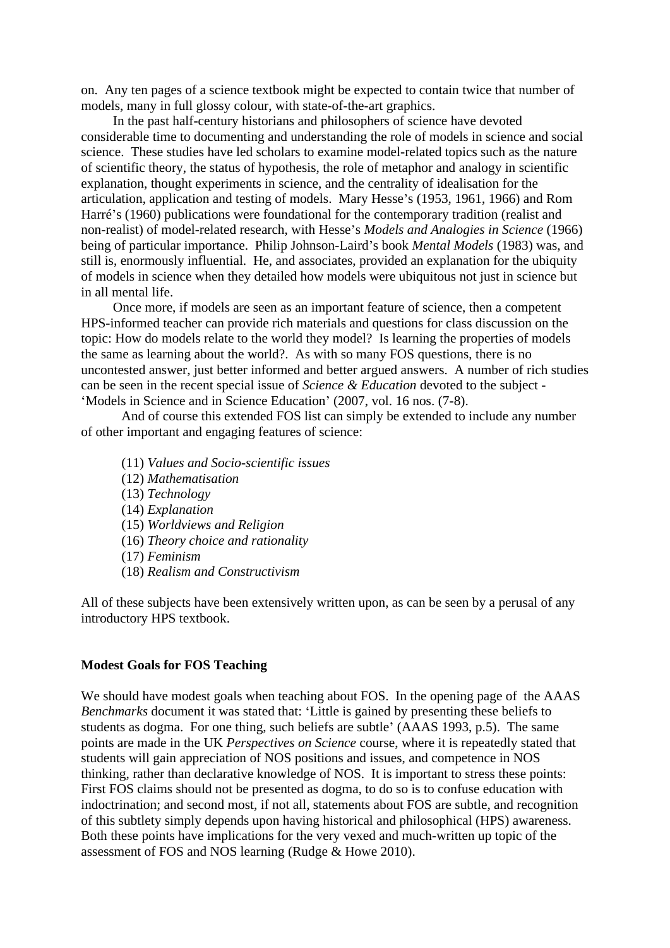on. Any ten pages of a science textbook might be expected to contain twice that number of models, many in full glossy colour, with state-of-the-art graphics.

In the past half-century historians and philosophers of science have devoted considerable time to documenting and understanding the role of models in science and social science. These studies have led scholars to examine model-related topics such as the nature of scientific theory, the status of hypothesis, the role of metaphor and analogy in scientific explanation, thought experiments in science, and the centrality of idealisation for the articulation, application and testing of models. Mary Hesse's (1953, 1961, 1966) and Rom Harré's (1960) publications were foundational for the contemporary tradition (realist and non-realist) of model-related research, with Hesse's *Models and Analogies in Science* (1966) being of particular importance. Philip Johnson-Laird's book *Mental Models* (1983) was, and still is, enormously influential. He, and associates, provided an explanation for the ubiquity of models in science when they detailed how models were ubiquitous not just in science but in all mental life.

Once more, if models are seen as an important feature of science, then a competent HPS-informed teacher can provide rich materials and questions for class discussion on the topic: How do models relate to the world they model? Is learning the properties of models the same as learning about the world?. As with so many FOS questions, there is no uncontested answer, just better informed and better argued answers. A number of rich studies can be seen in the recent special issue of *Science & Education* devoted to the subject - 'Models in Science and in Science Education' (2007, vol. 16 nos. (7-8).

And of course this extended FOS list can simply be extended to include any number of other important and engaging features of science:

- (11) *Values and Socio-scientific issues*
- (12) *Mathematisation*
- (13) *Technology*
- (14) *Explanation*
- (15) *Worldviews and Religion*
- (16) *Theory choice and rationality*
- (17) *Feminism*
- (18) *Realism and Constructivism*

All of these subjects have been extensively written upon, as can be seen by a perusal of any introductory HPS textbook.

### **Modest Goals for FOS Teaching**

We should have modest goals when teaching about FOS. In the opening page of the AAAS *Benchmarks* document it was stated that: Little is gained by presenting these beliefs to students as dogma. For one thing, such beliefs are subtle' (AAAS 1993, p.5). The same points are made in the UK *Perspectives on Science* course, where it is repeatedly stated that students will gain appreciation of NOS positions and issues, and competence in NOS thinking, rather than declarative knowledge of NOS. It is important to stress these points: First FOS claims should not be presented as dogma, to do so is to confuse education with indoctrination; and second most, if not all, statements about FOS are subtle, and recognition of this subtlety simply depends upon having historical and philosophical (HPS) awareness. Both these points have implications for the very vexed and much-written up topic of the assessment of FOS and NOS learning (Rudge & Howe 2010).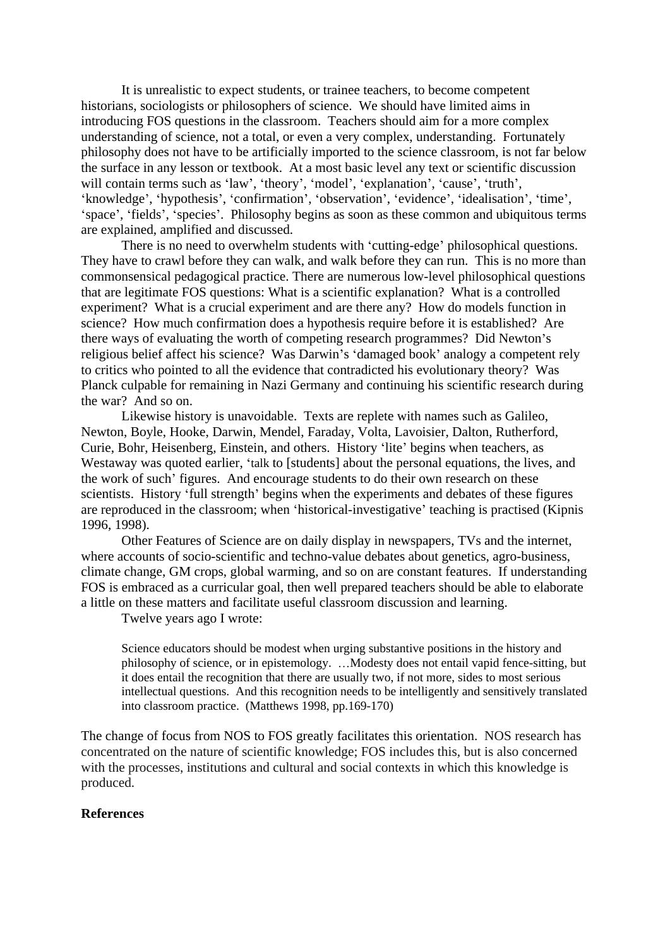It is unrealistic to expect students, or trainee teachers, to become competent historians, sociologists or philosophers of science. We should have limited aims in introducing FOS questions in the classroom. Teachers should aim for a more complex understanding of science, not a total, or even a very complex, understanding. Fortunately philosophy does not have to be artificially imported to the science classroom, is not far below the surface in any lesson or textbook. At a most basic level any text or scientific discussion will contain terms such as 'law', 'theory', 'model', 'explanation', 'cause', 'truth', 'knowledge', 'hypothesis', 'confirmation', 'observation', 'evidence', 'idealisation', 'time', 'space', 'fields', 'species'. Philosophy begins as soon as these common and ubiquitous terms are explained, amplified and discussed.

There is no need to overwhelm students with 'cutting-edge' philosophical questions. They have to crawl before they can walk, and walk before they can run. This is no more than commonsensical pedagogical practice. There are numerous low-level philosophical questions that are legitimate FOS questions: What is a scientific explanation? What is a controlled experiment? What is a crucial experiment and are there any? How do models function in science? How much confirmation does a hypothesis require before it is established? Are there ways of evaluating the worth of competing research programmes? Did Newton's religious belief affect his science? Was Darwin's 'damaged book' analogy a competent rely to critics who pointed to all the evidence that contradicted his evolutionary theory? Was Planck culpable for remaining in Nazi Germany and continuing his scientific research during the war? And so on. Likewise history is unavoidable. Texts are replete with names such as Galileo,

Newton, Boyle, Hooke, Darwin, Mendel, Faraday, Volta, Lavoisier, Dalton, Rutherford, Curie, Bohr, Heisenberg, Einstein, and others. History 'lite' begins when teachers, as Westaway was quoted earlier, 'talk to [students] about the personal equations, the lives, and the work of such' figures. And encourage students to do their own research on these scientists. History 'full strength' begins when the experiments and debates of these figures are reproduced in the classroom; when 'historical-investigative' teaching is practised (Kipnis

1996, 1998). Other Features of Science are on daily display in newspapers, TVs and the internet, where accounts of socio-scientific and techno-value debates about genetics, agro-business, climate change, GM crops, global warming, and so on are constant features. If understanding FOS is embraced as a curricular goal, then well prepared teachers should be able to elaborate a little on these matters and facilitate useful classroom discussion and learning. Twelve years ago I wrote:

Science educators should be modest when urging substantive positions in the history and philosophy of science, or in epistemology. ... Modesty does not entail vapid fence-sitting, but it does entail the recognition that there are usually two, if not more, sides to most serious intellectual questions. And this recognition needs to be intelligently and sensitively translated into classroom practice. (Matthews 1998, pp.169-170)

The change of focus from NOS to FOS greatly facilitates this orientation. NOS research has concentrated on the nature of scientific knowledge; FOS includes this, but is also concerned with the processes, institutions and cultural and social contexts in which this knowledge is produced. The contract of the contract of the contract of the contract of the contract of the contract of the contract of the contract of the contract of the contract of the contract of the contract of the contract of the

### **References**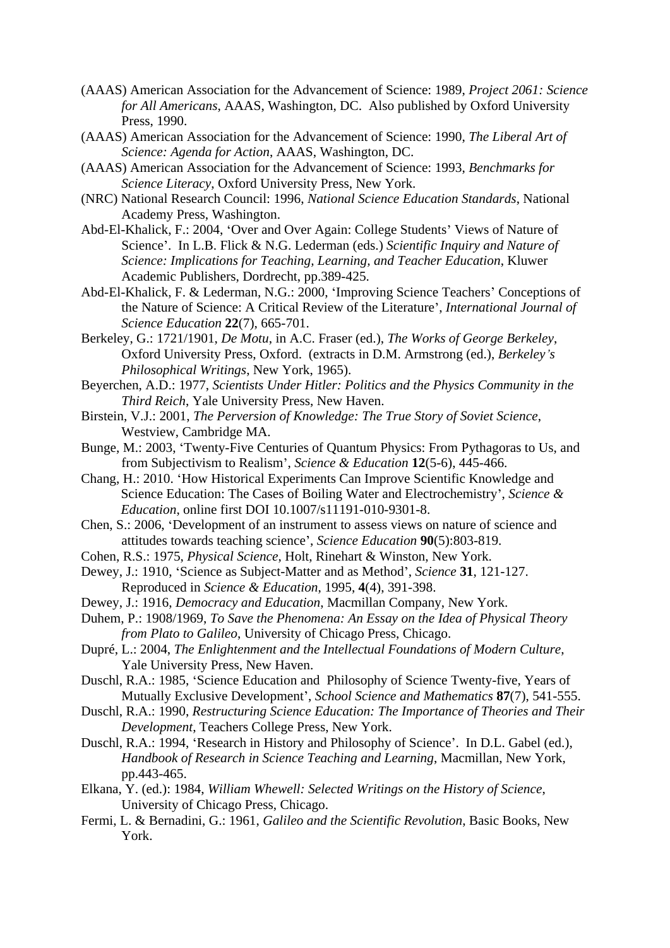- (AAAS) American Association for the Advancement of Science: 1989, *Project 2061: Science for All Americans*, AAAS, Washington, DC. Also published by Oxford University Press, 1990.
- (AAAS) American Association for the Advancement of Science: 1990, *The Liberal Art of Science: Agenda for Action*, AAAS, Washington, DC.
- (AAAS) American Association for the Advancement of Science: 1993, *Benchmarks for Science Literacy*, Oxford University Press, New York.
- (NRC) National Research Council: 1996, *National Science Education Standards*, National Academy Press, Washington.
- Abd-El-Khalick, F.: 2004, 'Over and Over Again: College Students' Views of Nature of Science . In L.B. Flick & N.G. Lederman (eds.) *Scientific Inquiry and Nature of Science: Implications for Teaching, Learning, and Teacher Education*, Kluwer Academic Publishers, Dordrecht, pp.389-425.
- Abd-El-Khalick, F. & Lederman, N.G.: 2000, 'Improving Science Teachers' Conceptions of the Nature of Science: A Critical Review of the Literature , *International Journal of Science Education* **22**(7), 665-701.
- Berkeley, G.: 1721/1901, *De Motu*, in A.C. Fraser (ed.), *The Works of George Berkeley*, Oxford University Press, Oxford. (extracts in D.M. Armstrong (ed.), *Berkeley's Philosophical Writings*, New York, 1965).
- Beyerchen, A.D.: 1977, *Scientists Under Hitler: Politics and the Physics Community in the Third Reich*, Yale University Press, New Haven.
- Birstein, V.J.: 2001, *The Perversion of Knowledge: The True Story of Soviet Science*, Westview, Cambridge MA.
- Bunge, M.: 2003, Twenty-Five Centuries of Quantum Physics: From Pythagoras to Us, and from Subjectivism to Realism , *Science & Education* **12**(5-6), 445-466.
- Chang, H.: 2010. 'How Historical Experiments Can Improve Scientific Knowledge and Science Education: The Cases of Boiling Water and Electrochemistry , *Science & Education*, online first DOI 10.1007/s11191-010-9301-8.
- Chen, S.: 2006, 'Development of an instrument to assess views on nature of science and attitudes towards teaching science , *Science Education* **<sup>90</sup>**(5):803-819. Cohen, R.S.: 1975, *Physical Science*, Holt, Rinehart & Winston, New York.
- 
- Dewey, J.: 1910, Science as Subject-Matter and as Method , *Science* **31**, 121-127. Reproduced in *Science & Education*, 1995, **4**(4), 391-398.
- Dewey, J.: 1916, *Democracy and Education*, Macmillan Company, New York.
- Duhem, P.: 1908/1969, *To Save the Phenomena: An Essay on the Idea of Physical Theory from Plato to Galileo*, University of Chicago Press, Chicago.
- Dupré, L.: 2004, *The Enlightenment and the Intellectual Foundations of Modern Culture*, Yale University Press, New Haven.
- Duschl, R.A.: 1985, 'Science Education and Philosophy of Science Twenty-five, Years of Mutually Exclusive Development', *School Science and Mathematics* 87(7), 541-555.
- Duschl, R.A.: 1990, *Restructuring Science Education: The Importance of Theories and Their Development*, Teachers College Press, New York.
- Duschl, R.A.: 1994, 'Research in History and Philosophy of Science'. In D.L. Gabel (ed.), *Handbook of Research in Science Teaching and Learning*, Macmillan, New York, pp.443-465.
- Elkana, Y. (ed.): 1984, *William Whewell: Selected Writings on the History of Science*, University of Chicago Press, Chicago.
- Fermi, L. & Bernadini, G.: 1961, *Galileo and the Scientific Revolution*, Basic Books, New York.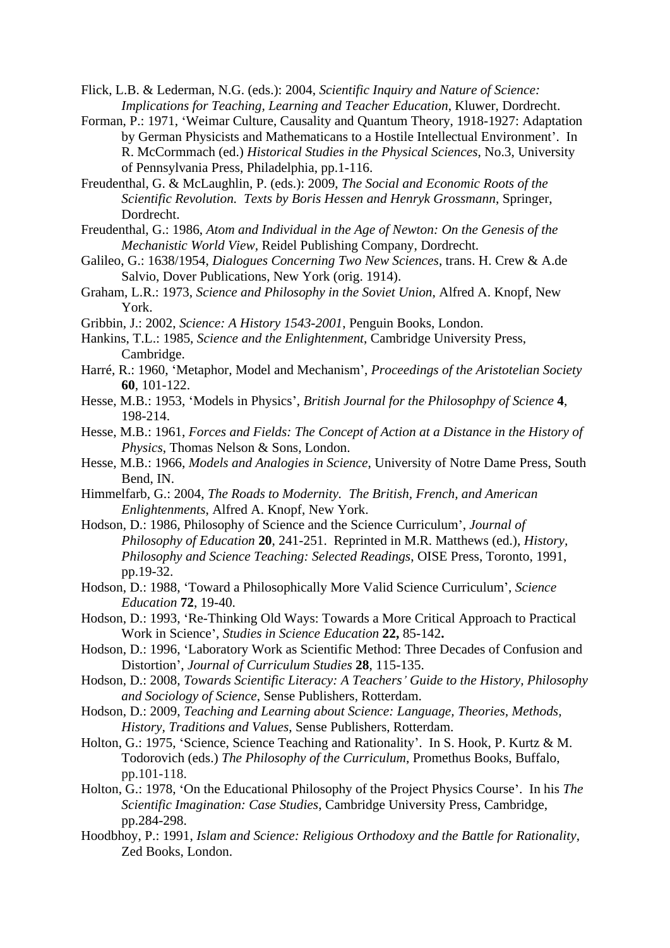Flick, L.B. & Lederman, N.G. (eds.): 2004, *Scientific Inquiry and Nature of Science: Implications for Teaching, Learning and Teacher Education*, Kluwer, Dordrecht.

- Forman, P.: 1971, Weimar Culture, Causality and Quantum Theory, 1918-1927: Adaptation by German Physicists and Mathematicans to a Hostile Intellectual Environment . In R. McCormmach (ed.) *Historical Studies in the Physical Sciences*, No.3, University of Pennsylvania Press, Philadelphia, pp.1-116.
- Freudenthal, G. & McLaughlin, P. (eds.): 2009, *The Social and Economic Roots of the Scientific Revolution. Texts by Boris Hessen and Henryk Grossmann*, Springer, Dordrecht.
- Freudenthal, G.: 1986, *Atom and Individual in the Age of Newton: On the Genesis of the Mechanistic World View,* Reidel Publishing Company, Dordrecht.
- Galileo, G.: 1638/1954, *Dialogues Concerning Two New Sciences*, trans. H. Crew & A.de Salvio, Dover Publications, New York (orig. 1914).
- Graham, L.R.: 1973, *Science and Philosophy in the Soviet Union*, Alfred A. Knopf, New York.
- Gribbin, J.: 2002, *Science: A History 1543-2001*, Penguin Books, London.
- Hankins, T.L.: 1985, *Science and the Enlightenment*, Cambridge University Press, Cambridge.
- Harré, R.: 1960, 'Metaphor, Model and Mechanism', *Proceedings of the Aristotelian Society* **60**, 101-122.
- Hesse, M.B.: 1953, 'Models in Physics', *British Journal for the Philosophpy of Science* 4, 198-214.
- Hesse, M.B.: 1961, *Forces and Fields: The Concept of Action at a Distance in the History of Physics*, Thomas Nelson & Sons, London.
- Hesse, M.B.: 1966, *Models and Analogies in Science*, University of Notre Dame Press, South Bend, IN.
- Himmelfarb, G.: 2004, *The Roads to Modernity. The British, French, and American Enlightenments*, Alfred A. Knopf, New York.
- Hodson, D.: 1986, Philosophy of Science and the Science Curriculum , *Journal of Philosophy of Education* **20**, 241-251. Reprinted in M.R. Matthews (ed.), *History, Philosophy and Science Teaching: Selected Readings*, OISE Press, Toronto, 1991, pp.19-32.
- Hodson, D.: 1988, Toward a Philosophically More Valid Science Curriculum , *Science Education* **72**, 19-40.
- Hodson, D.: 1993, 'Re-Thinking Old Ways: Towards a More Critical Approach to Practical Work in Science , *Studies in Science Education* **22,** 85-142**.**
- Hodson, D.: 1996, Laboratory Work as Scientific Method: Three Decades of Confusion and Distortion , *Journal of Curriculum Studies* **28**, 115-135.
- Hodson, D.: 2008, *Towards Scientific Literacy: A Teachers Guide to the History, Philosophy and Sociology of Science*, Sense Publishers, Rotterdam.
- Hodson, D.: 2009, *Teaching and Learning about Science: Language, Theories, Methods, History, Traditions and Values*, Sense Publishers, Rotterdam.
- Holton, G.: 1975, 'Science, Science Teaching and Rationality'. In S. Hook, P. Kurtz & M. Todorovich (eds.) *The Philosophy of the Curriculum*, Promethus Books, Buffalo, pp.101-118.
- Holton, G.: 1978, 'On the Educational Philosophy of the Project Physics Course'. In his *The Scientific Imagination: Case Studies*, Cambridge University Press, Cambridge, pp.284-298.
- Hoodbhoy, P.: 1991, *Islam and Science: Religious Orthodoxy and the Battle for Rationality*, Zed Books, London.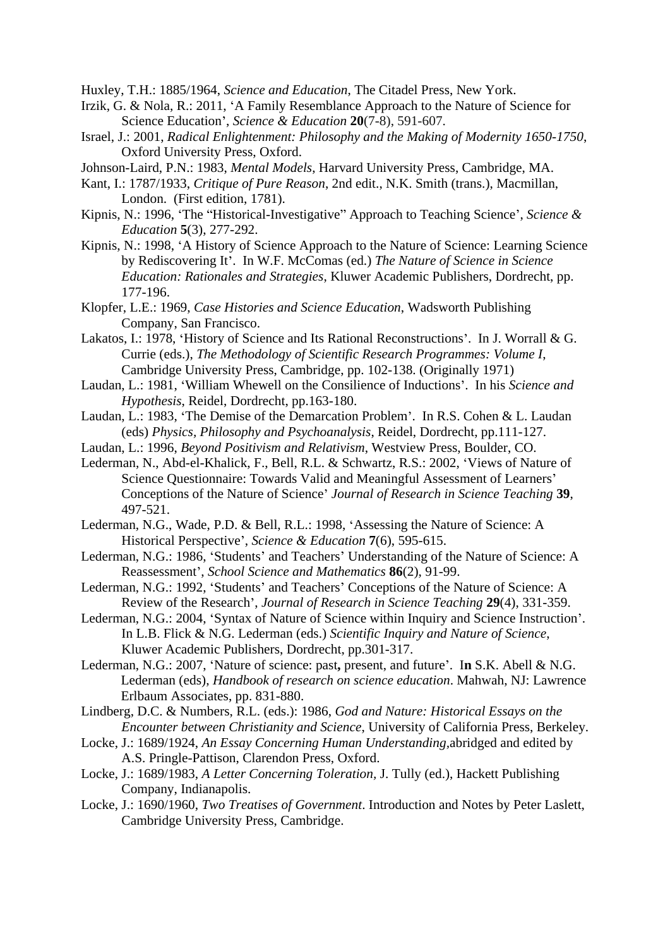Huxley, T.H.: 1885/1964, *Science and Education*, The Citadel Press, New York.

- Irzik, G. & Nola, R.: 2011, 'A Family Resemblance Approach to the Nature of Science for Science Education , *Science & Education* **20**(7-8), 591-607.
- Israel, J.: 2001, *Radical Enlightenment: Philosophy and the Making of Modernity 1650-1750*, Oxford University Press, Oxford.
- Johnson-Laird, P.N.: 1983, *Mental Models*, Harvard University Press, Cambridge, MA.
- Kant, I.: 1787/1933, *Critique of Pure Reason*, 2nd edit., N.K. Smith (trans.), Macmillan, London. (First edition, 1781).
- Kipnis, N.: 1996, 'The "Historical-Investigative" Approach to Teaching Science', Science & *Education* **5**(3), 277-292.
- Kipnis, N.: 1998, 'A History of Science Approach to the Nature of Science: Learning Science by Rediscovering It . In W.F. McComas (ed.) *The Nature of Science in Science Education: Rationales and Strategies*, Kluwer Academic Publishers, Dordrecht, pp. 177-196.
- Klopfer, L.E.: 1969, *Case Histories and Science Education*, Wadsworth Publishing Company, San Francisco.
- Lakatos, I.: 1978, 'History of Science and Its Rational Reconstructions'. In J. Worrall & G. Currie (eds.), *The Methodology of Scientific Research Programmes: Volume I*, Cambridge University Press, Cambridge, pp. 102-138. (Originally 1971)
- Laudan, L.: 1981, William Whewell on the Consilience of Inductions . In his *Science and Hypothesis*, Reidel, Dordrecht, pp.163-180.
- Laudan, L.: 1983, 'The Demise of the Demarcation Problem'. In R.S. Cohen & L. Laudan (eds) *Physics, Philosophy and Psychoanalysis*, Reidel, Dordrecht, pp.111-127.
- Laudan, L.: 1996, *Beyond Positivism and Relativism*, Westview Press, Boulder, CO.
- Lederman, N., Abd-el-Khalick, F., Bell, R.L. & Schwartz, R.S.: 2002, Views of Nature of Science Questionnaire: Towards Valid and Meaningful Assessment of Learners Conceptions of the Nature of Science *Journal of Research in Science Teaching* **<sup>39</sup>**, 497-521.
- Lederman, N.G., Wade, P.D. & Bell, R.L.: 1998, 'Assessing the Nature of Science: A Historical Perspective , *Science & Education* **7**(6), 595-615.
- Lederman, N.G.: 1986, 'Students' and Teachers' Understanding of the Nature of Science: A Reassessment , *School Science and Mathematics* **86**(2), 91-99.
- Lederman, N.G.: 1992, 'Students' and Teachers' Conceptions of the Nature of Science: A Review of the Research , *Journal of Research in Science Teaching* **29**(4), 331-359.
- Lederman, N.G.: 2004, 'Syntax of Nature of Science within Inquiry and Science Instruction'. In L.B. Flick & N.G. Lederman (eds.) *Scientific Inquiry and Nature of Science*, Kluwer Academic Publishers, Dordrecht, pp.301-317.
- Lederman, N.G.: 2007, 'Nature of science: past, present, and future'. In S.K. Abell & N.G. Lederman (eds), *Handbook of research on science education*. Mahwah, NJ: Lawrence Erlbaum Associates, pp. 831-880.
- Lindberg, D.C. & Numbers, R.L. (eds.): 1986, *God and Nature: Historical Essays on the Encounter between Christianity and Science*, University of California Press, Berkeley.
- Locke, J.: 1689/1924, *An Essay Concerning Human Understanding,*abridged and edited by A.S. Pringle-Pattison, Clarendon Press, Oxford.
- Locke, J.: 1689/1983, *A Letter Concerning Toleration,* J. Tully (ed.), Hackett Publishing Company, Indianapolis.
- Locke, J.: 1690/1960, *Two Treatises of Government*. Introduction and Notes by Peter Laslett, Cambridge University Press, Cambridge.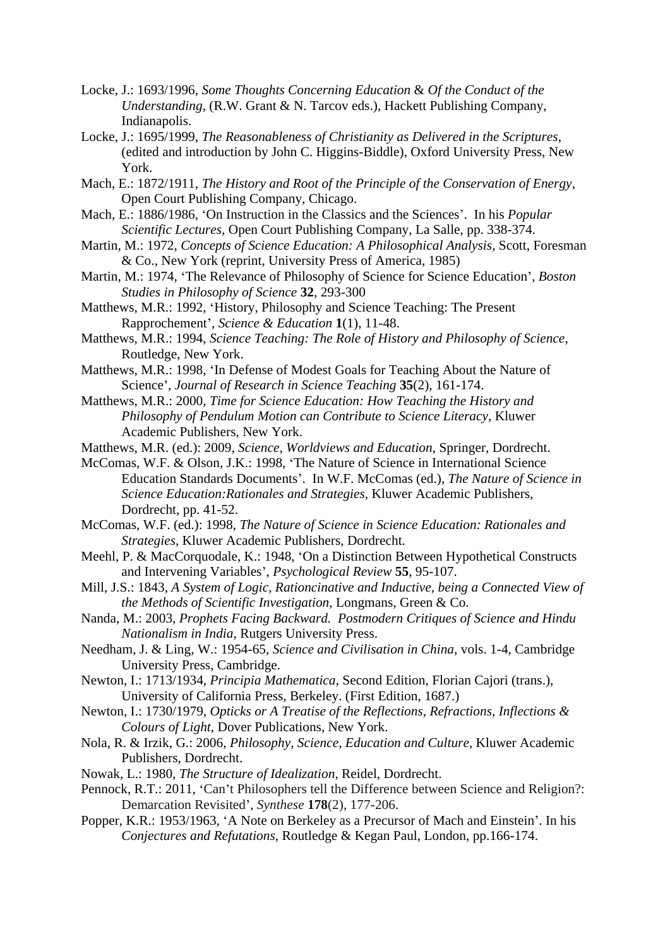- Locke, J.: 1693/1996, *Some Thoughts Concerning Education* & *Of the Conduct of the Understanding*, (R.W. Grant & N. Tarcov eds.), Hackett Publishing Company, Indianapolis.
- Locke, J.: 1695/1999, *The Reasonableness of Christianity as Delivered in the Scriptures*, (edited and introduction by John C. Higgins-Biddle), Oxford University Press, New York.
- Mach, E.: 1872/1911, *The History and Root of the Principle of the Conservation of Energy*, Open Court Publishing Company, Chicago.
- Mach, E.: 1886/1986, 'On Instruction in the Classics and the Sciences'. In his *Popular Scientific Lectures*, Open Court Publishing Company, La Salle, pp. 338-374.
- Martin, M.: 1972, *Concepts of Science Education: A Philosophical Analysis*, Scott, Foresman & Co., New York (reprint, University Press of America, 1985)
- Martin, M.: 1974, The Relevance of Philosophy of Science for Science Education , *Boston Studies in Philosophy of Science* **32**, 293-300
- Matthews, M.R.: 1992, 'History, Philosophy and Science Teaching: The Present Rapprochement', *Science & Education* 1(1), 11-48.
- Matthews, M.R.: 1994, *Science Teaching: The Role of History and Philosophy of Science*, Routledge, New York.
- Matthews, M.R.: 1998, 'In Defense of Modest Goals for Teaching About the Nature of Science , *Journal of Research in Science Teaching* **35**(2), 161-174.
- Matthews, M.R.: 2000, *Time for Science Education: How Teaching the History and Philosophy of Pendulum Motion can Contribute to Science Literacy*, Kluwer Academic Publishers, New York.
- Matthews, M.R. (ed.): 2009, *Science, Worldviews and Education*, Springer, Dordrecht.
- McComas, W.F. & Olson, J.K.: 1998, The Nature of Science in International Science Education Standards Documents . In W.F. McComas (ed.), *The Nature of Science in Science Education:Rationales and Strategies,* Kluwer Academic Publishers, Dordrecht, pp. 41-52.
- McComas, W.F. (ed.): 1998, *The Nature of Science in Science Education: Rationales and Strategies,* Kluwer Academic Publishers, Dordrecht.
- Meehl, P. & MacCorquodale, K.: 1948, 'On a Distinction Between Hypothetical Constructs and Intervening Variables , *Psychological Review* **55**, 95-107.
- Mill, J.S.: 1843, *A System of Logic, Rationcinative and Inductive, being a Connected View of the Methods of Scientific Investigation*, Longmans, Green & Co.
- Nanda, M.: 2003, *Prophets Facing Backward. Postmodern Critiques of Science and Hindu Nationalism in India*, Rutgers University Press.
- Needham, J. & Ling, W.: 1954-65, *Science and Civilisation in China*, vols. 1-4, Cambridge University Press, Cambridge.
- Newton, I.: 1713/1934, *Principia Mathematica*, Second Edition, Florian Cajori (trans.), University of California Press, Berkeley. (First Edition, 1687.)
- Newton, I.: 1730/1979, *Opticks or A Treatise of the Reflections, Refractions, Inflections & Colours of Light*, Dover Publications, New York.
- Nola, R. & Irzik, G.: 2006, *Philosophy, Science, Education and Culture*, Kluwer Academic Publishers, Dordrecht.
- Nowak, L.: 1980, *The Structure of Idealization*, Reidel, Dordrecht.
- Pennock, R.T.: 2011, 'Can't Philosophers tell the Difference between Science and Religion?: Demarcation Revisited , *Synthese* **178**(2), 177-206.
- Popper, K.R.: 1953/1963, 'A Note on Berkeley as a Precursor of Mach and Einstein'. In his *Conjectures and Refutations*, Routledge & Kegan Paul, London, pp.166-174.